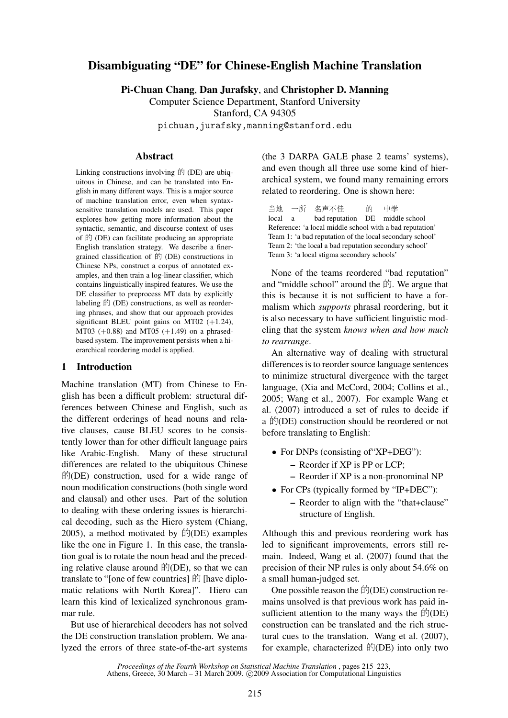# Disambiguating "DE" for Chinese-English Machine Translation

Pi-Chuan Chang, Dan Jurafsky, and Christopher D. Manning

Computer Science Department, Stanford University

Stanford, CA 94305

pichuan,jurafsky,manning@stanford.edu

# Abstract

Linking constructions involving  $\hat{F}$  (DE) are ubiquitous in Chinese, and can be translated into English in many different ways. This is a major source of machine translation error, even when syntaxsensitive translation models are used. This paper explores how getting more information about the syntactic, semantic, and discourse context of uses of  ${\rm (D)}$  (DE) can facilitate producing an appropriate English translation strategy. We describe a finergrained classification of  $\hat{E}$  (DE) constructions in Chinese NPs, construct a corpus of annotated examples, and then train a log-linear classifier, which contains linguistically inspired features. We use the DE classifier to preprocess MT data by explicitly labeling  $$$  (DE) constructions, as well as reordering phrases, and show that our approach provides significant BLEU point gains on MT02  $(+1.24)$ , MT03 (+0.88) and MT05 (+1.49) on a phrasedbased system. The improvement persists when a hierarchical reordering model is applied.

### 1 Introduction

Machine translation (MT) from Chinese to English has been a difficult problem: structural differences between Chinese and English, such as the different orderings of head nouns and relative clauses, cause BLEU scores to be consistently lower than for other difficult language pairs like Arabic-English. Many of these structural differences are related to the ubiquitous Chinese  $\mathbb{f}$ (DE) construction, used for a wide range of noun modification constructions (both single word and clausal) and other uses. Part of the solution to dealing with these ordering issues is hierarchical decoding, such as the Hiero system (Chiang,  $2005$ ), a method motivated by  $\sharp f$ (DE) examples like the one in Figure 1. In this case, the translation goal is to rotate the noun head and the preceding relative clause around  $\hat{F}/(DE)$ , so that we can translate to "[one of few countries]  $\hat{E}$  [have diplomatic relations with North Korea]". Hiero can learn this kind of lexicalized synchronous grammar rule.

But use of hierarchical decoders has not solved the DE construction translation problem. We analyzed the errors of three state-of-the-art systems (the 3 DARPA GALE phase 2 teams' systems), and even though all three use some kind of hierarchical system, we found many remaining errors related to reordering. One is shown here:

当地 一所 名声不佳 的 中学 local a bad reputation DE middle school Reference: 'a local middle school with a bad reputation' Team 1: 'a bad reputation of the local secondary school' Team 2: 'the local a bad reputation secondary school' Team 3: 'a local stigma secondary schools'

None of the teams reordered "bad reputation" and "middle school" around the  $\sharp$ . We argue that this is because it is not sufficient to have a formalism which *supports* phrasal reordering, but it is also necessary to have sufficient linguistic modeling that the system *knows when and how much to rearrange*.

An alternative way of dealing with structural differences is to reorder source language sentences to minimize structural divergence with the target language, (Xia and McCord, 2004; Collins et al., 2005; Wang et al., 2007). For example Wang et al. (2007) introduced a set of rules to decide if a  $\sharp$  (DE) construction should be reordered or not before translating to English:

- For DNPs (consisting of "XP+DEG"):
	- Reorder if XP is PP or LCP;
	- Reorder if XP is a non-pronominal NP
- For CPs (typically formed by "IP+DEC"):
	- Reorder to align with the "that+clause" structure of English.

Although this and previous reordering work has led to significant improvements, errors still remain. Indeed, Wang et al. (2007) found that the precision of their NP rules is only about 54.6% on a small human-judged set.

One possible reason the  $\mathbb{H}(\mathbb{D}E)$  construction remains unsolved is that previous work has paid insufficient attention to the many ways the  $\sharp f$ <sup>(DE)</sup> construction can be translated and the rich structural cues to the translation. Wang et al. (2007), for example, characterized  $\sharp f$ <sup>(DE)</sup> into only two

*Proceedings of the Fourth Workshop on Statistical Machine Translation* , pages 215–223, Athens, Greece, 30 March – 31 March 2009. ©2009 Association for Computational Linguistics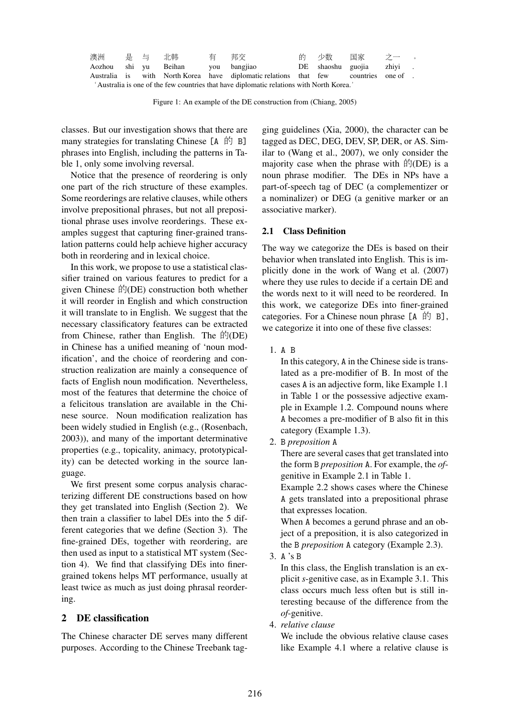| 澳洲 是 与 北韩                                                                               |  |  |                                   |  |                                                                                     |  | 的りの数 国家 ブー                | $\sim$ 0 |
|-----------------------------------------------------------------------------------------|--|--|-----------------------------------|--|-------------------------------------------------------------------------------------|--|---------------------------|----------|
|                                                                                         |  |  | Aozhou shi yu Beihan you bangjiao |  |                                                                                     |  | DE shaoshu guojia zhiyi . |          |
|                                                                                         |  |  |                                   |  | Australia is with North-Korea have diplomatic relations that few countries one of . |  |                           |          |
| 'Australia is one of the few countries that have diplomatic relations with North Korea. |  |  |                                   |  |                                                                                     |  |                           |          |

Figure 1: An example of the DE construction from (Chiang, 2005)

classes. But our investigation shows that there are many strategies for translating Chinese  $[A \oplus B]$ phrases into English, including the patterns in Table 1, only some involving reversal.

Notice that the presence of reordering is only one part of the rich structure of these examples. Some reorderings are relative clauses, while others involve prepositional phrases, but not all prepositional phrase uses involve reorderings. These examples suggest that capturing finer-grained translation patterns could help achieve higher accuracy both in reordering and in lexical choice.

In this work, we propose to use a statistical classifier trained on various features to predict for a given Chinese  $\mathbb{H}(\text{DE})$  construction both whether it will reorder in English and which construction it will translate to in English. We suggest that the necessary classificatory features can be extracted from Chinese, rather than English. The  $\mathbb{f}(\text{DE})$ in Chinese has a unified meaning of 'noun modification', and the choice of reordering and construction realization are mainly a consequence of facts of English noun modification. Nevertheless, most of the features that determine the choice of a felicitous translation are available in the Chinese source. Noun modification realization has been widely studied in English (e.g., (Rosenbach, 2003)), and many of the important determinative properties (e.g., topicality, animacy, prototypicality) can be detected working in the source language.

We first present some corpus analysis characterizing different DE constructions based on how they get translated into English (Section 2). We then train a classifier to label DEs into the 5 different categories that we define (Section 3). The fine-grained DEs, together with reordering, are then used as input to a statistical MT system (Section 4). We find that classifying DEs into finergrained tokens helps MT performance, usually at least twice as much as just doing phrasal reordering.

# 2 DE classification

The Chinese character DE serves many different purposes. According to the Chinese Treebank tag-

ging guidelines (Xia, 2000), the character can be tagged as DEC, DEG, DEV, SP, DER, or AS. Similar to (Wang et al., 2007), we only consider the majority case when the phrase with  $\hat{F}/(DE)$  is a noun phrase modifier. The DEs in NPs have a part-of-speech tag of DEC (a complementizer or a nominalizer) or DEG (a genitive marker or an associative marker).

# 2.1 Class Definition

The way we categorize the DEs is based on their behavior when translated into English. This is implicitly done in the work of Wang et al. (2007) where they use rules to decide if a certain DE and the words next to it will need to be reordered. In this work, we categorize DEs into finer-grained categories. For a Chinese noun phrase  $[A \hat{B}]$ , we categorize it into one of these five classes:

1. A B

In this category, A in the Chinese side is translated as a pre-modifier of B. In most of the cases A is an adjective form, like Example 1.1 in Table 1 or the possessive adjective example in Example 1.2. Compound nouns where A becomes a pre-modifier of B also fit in this category (Example 1.3).

2. B *preposition* A

There are several cases that get translated into the form B *preposition* A. For example, the *of*genitive in Example 2.1 in Table 1.

Example 2.2 shows cases where the Chinese A gets translated into a prepositional phrase that expresses location.

When A becomes a gerund phrase and an object of a preposition, it is also categorized in the B *preposition* A category (Example 2.3).

3. A 's B

In this class, the English translation is an explicit *s*-genitive case, as in Example 3.1. This class occurs much less often but is still interesting because of the difference from the *of*-genitive.

4. *relative clause*

We include the obvious relative clause cases like Example 4.1 where a relative clause is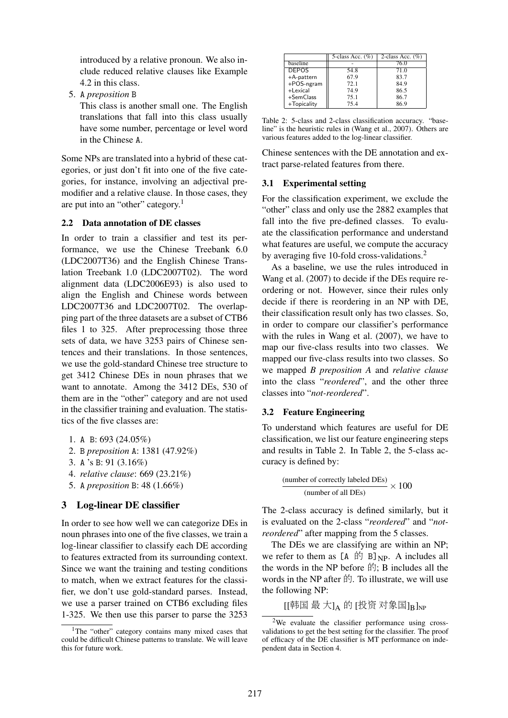introduced by a relative pronoun. We also include reduced relative clauses like Example 4.2 in this class.

5. A *preposition* B

This class is another small one. The English translations that fall into this class usually have some number, percentage or level word in the Chinese A.

Some NPs are translated into a hybrid of these categories, or just don't fit into one of the five categories, for instance, involving an adjectival premodifier and a relative clause. In those cases, they are put into an "other" category.<sup>1</sup>

### 2.2 Data annotation of DE classes

In order to train a classifier and test its performance, we use the Chinese Treebank 6.0 (LDC2007T36) and the English Chinese Translation Treebank 1.0 (LDC2007T02). The word alignment data (LDC2006E93) is also used to align the English and Chinese words between LDC2007T36 and LDC2007T02. The overlapping part of the three datasets are a subset of CTB6 files 1 to 325. After preprocessing those three sets of data, we have 3253 pairs of Chinese sentences and their translations. In those sentences, we use the gold-standard Chinese tree structure to get 3412 Chinese DEs in noun phrases that we want to annotate. Among the 3412 DEs, 530 of them are in the "other" category and are not used in the classifier training and evaluation. The statistics of the five classes are:

- 1. A B: 693 (24.05%)
- 2. B *preposition* A: 1381 (47.92%)
- 3. A 's B: 91 (3.16%)
- 4. *relative clause*: 669 (23.21%)
- 5. A *preposition* B: 48 (1.66%)

### 3 Log-linear DE classifier

In order to see how well we can categorize DEs in noun phrases into one of the five classes, we train a log-linear classifier to classify each DE according to features extracted from its surrounding context. Since we want the training and testing conditions to match, when we extract features for the classifier, we don't use gold-standard parses. Instead, we use a parser trained on CTB6 excluding files 1-325. We then use this parser to parse the 3253

|                 | 5-class Acc. $(\%)$ | 2-class Acc. $(\%)$ |
|-----------------|---------------------|---------------------|
| <b>baseline</b> |                     | 76.0                |
| <b>DEPOS</b>    | 54.8                | 71.0                |
| +A-pattern      | 67.9                | 83.7                |
| +POS-ngram      | 72.1                | 84.9                |
| +Lexical        | 74.9                | 86.5                |
| +SemClass       | 75.1                | 86.7                |
| +Topicality     | 75.4                | 86.9                |

Table 2: 5-class and 2-class classification accuracy. "baseline" is the heuristic rules in (Wang et al., 2007). Others are various features added to the log-linear classifier.

Chinese sentences with the DE annotation and extract parse-related features from there.

#### 3.1 Experimental setting

For the classification experiment, we exclude the "other" class and only use the 2882 examples that fall into the five pre-defined classes. To evaluate the classification performance and understand what features are useful, we compute the accuracy by averaging five 10-fold cross-validations.<sup>2</sup>

As a baseline, we use the rules introduced in Wang et al. (2007) to decide if the DEs require reordering or not. However, since their rules only decide if there is reordering in an NP with DE, their classification result only has two classes. So, in order to compare our classifier's performance with the rules in Wang et al. (2007), we have to map our five-class results into two classes. We mapped our five-class results into two classes. So we mapped *B preposition A* and *relative clause* into the class "*reordered*", and the other three classes into "*not-reordered*".

#### 3.2 Feature Engineering

To understand which features are useful for DE classification, we list our feature engineering steps and results in Table 2. In Table 2, the 5-class accuracy is defined by:

> $\frac{\text{(number of correctly labeled DEs)}}{\text{(time to the BPS)}} \times 100$ (number of all DEs)

The 2-class accuracy is defined similarly, but it is evaluated on the 2-class "*reordered*" and "*notreordered*" after mapping from the 5 classes.

The DEs we are classifying are within an NP; we refer to them as  $[A \oplus B]_{NP}$ . A includes all the words in the NP before  $\sharp \hat{\mathfrak{h}}$ ; B includes all the words in the NP after  $\hat{F}$ . To illustrate, we will use the following NP:

 $\left[\left[\begin{matrix} \# \boxplus \Phi \end{matrix} \pm \begin{matrix} 1_A \oplus \Phi \end{matrix} \right] \left[\begin{matrix} 1_A \oplus \Phi \end{matrix} \right]\right]_{\rm NP}$ 

<sup>&</sup>lt;sup>1</sup>The "other" category contains many mixed cases that could be difficult Chinese patterns to translate. We will leave this for future work.

<sup>&</sup>lt;sup>2</sup>We evaluate the classifier performance using crossvalidations to get the best setting for the classifier. The proof of efficacy of the DE classifier is MT performance on independent data in Section 4.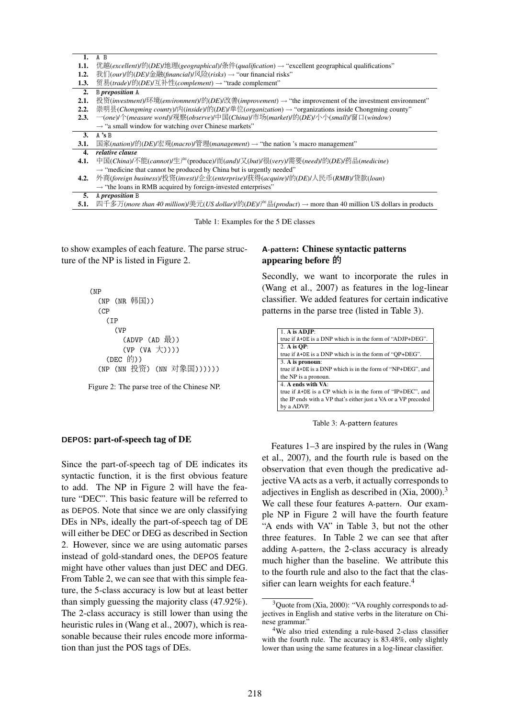| 1.   | A B                                                                                                                                          |
|------|----------------------------------------------------------------------------------------------------------------------------------------------|
| 1.1. | $\#$ 越( <i>excellent</i> )/的( <i>DE</i> )/地理( <i>geographical</i> )/条件( <i>qualification</i> ) → "excellent geographical qualifications"     |
| 1.2. | 我们( <i>our</i> )/的( <i>DE</i> )/金融( <i>financial</i> )/风险( <i>risks</i> ) $\rightarrow$ "our financial risks"                                |
| 1.3. | 贸易(trade)/的(DE)/互补性(complement) → "trade complement"                                                                                         |
| 2.   | <b>B</b> preposition A                                                                                                                       |
| 2.1. | 投资(investment)/环境(environment)/的(DE)/改善(improvement) → "the improvement of the investment environment"                                       |
| 2.2. | 崇明县(Chongming county)/内(inside)/的(DE)/单位(organization) → "organizations inside Chongming county"                                             |
| 2.3. | —(one)/个(measure word)/观察(observe)/中国(China)/市场(market)/的(DE)/小小(small)/窗口(window)                                                           |
|      | $\rightarrow$ "a small window for watching over Chinese markets"                                                                             |
| 3.   | $A$ 's B                                                                                                                                     |
| 3.1. | $\mathbb{E}$ 家(nation)/的(DE)/宏观(macro)/管理(management) → "the nation 's macro management"                                                     |
| 4.   | relative clause                                                                                                                              |
| 4.1. | 中国(China)/不能(cannot)/生产(produce)/而(and)/又(but)/很(very)/需要(need)/的(DE)/药品(medicine)                                                           |
|      | $\rightarrow$ "medicine that cannot be produced by China but is urgently needed"                                                             |
| 4.2. | 外商(foreign business)/投资(invest)/企业(enterprise)/获得(acquire)/的(DE)/人民币(RMB)/贷款(loan)                                                           |
|      | $\rightarrow$ "the loans in RMB acquired by foreign-invested enterprises"                                                                    |
| 5.   | A preposition B                                                                                                                              |
| 5.1. | 四千多万( <i>more than 40 million</i> )/美元( <i>US dollar</i> )/的( <i>DE</i> )/产品( <i>product</i> ) → more than 40 million US dollars in products |
|      |                                                                                                                                              |

Table 1: Examples for the 5 DE classes

to show examples of each feature. The parse structure of the NP is listed in Figure 2.

```
(NP
  (NP (NR 韩国))
  (CP)(IP
      (VP
         (ADVP (AD 最))(VP (VA <math>\nabla</math>)))(DEC 的))
  (NP (NN 投资) (NN 对象国))))))
```
Figure 2: The parse tree of the Chinese NP.

#### DEPOS: part-of-speech tag of DE

Since the part-of-speech tag of DE indicates its syntactic function, it is the first obvious feature to add. The NP in Figure 2 will have the feature "DEC". This basic feature will be referred to as DEPOS. Note that since we are only classifying DEs in NPs, ideally the part-of-speech tag of DE will either be DEC or DEG as described in Section 2. However, since we are using automatic parses instead of gold-standard ones, the DEPOS feature might have other values than just DEC and DEG. From Table 2, we can see that with this simple feature, the 5-class accuracy is low but at least better than simply guessing the majority class (47.92%). The 2-class accuracy is still lower than using the heuristic rules in (Wang et al., 2007), which is reasonable because their rules encode more information than just the POS tags of DEs.

# A-pattern: Chinese syntactic patterns appearing before 的

Secondly, we want to incorporate the rules in (Wang et al., 2007) as features in the log-linear classifier. We added features for certain indicative patterns in the parse tree (listed in Table 3).

| 1. A is $ADJP$ :                                               |
|----------------------------------------------------------------|
| true if A+DE is a DNP which is in the form of "ADJP+DEG".      |
| 2. A is $OP$ :                                                 |
| true if $A+DE$ is a DNP which is in the form of "OP+DEG".      |
| 3. A is pronoun:                                               |
| true if A+DE is a DNP which is in the form of "NP+DEG", and    |
| the NP is a pronoun.                                           |
| 4. A ends with VA:                                             |
| true if A+DE is a CP which is in the form of "IP+DEC", and     |
| the IP ends with a VP that's either just a VA or a VP preceded |
| by a ADVP.                                                     |

Table 3: A-pattern features

Features 1–3 are inspired by the rules in (Wang et al., 2007), and the fourth rule is based on the observation that even though the predicative adjective VA acts as a verb, it actually corresponds to adjectives in English as described in  $(Xia, 2000)^3$ We call these four features A-pattern. Our example NP in Figure 2 will have the fourth feature "A ends with VA" in Table 3, but not the other three features. In Table 2 we can see that after adding A-pattern, the 2-class accuracy is already much higher than the baseline. We attribute this to the fourth rule and also to the fact that the classifier can learn weights for each feature.<sup>4</sup>

<sup>3</sup>Quote from (Xia, 2000): "VA roughly corresponds to adjectives in English and stative verbs in the literature on Chinese grammar."

<sup>4</sup>We also tried extending a rule-based 2-class classifier with the fourth rule. The accuracy is 83.48%, only slightly lower than using the same features in a log-linear classifier.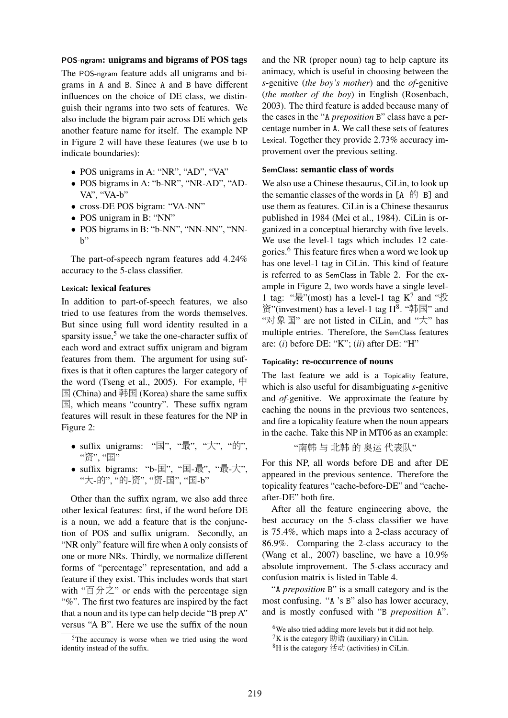## POS-ngram: unigrams and bigrams of POS tags

The POS-ngram feature adds all unigrams and bigrams in A and B. Since A and B have different influences on the choice of DE class, we distinguish their ngrams into two sets of features. We also include the bigram pair across DE which gets another feature name for itself. The example NP in Figure 2 will have these features (we use b to indicate boundaries):

- POS unigrams in A: "NR", "AD", "VA"
- POS bigrams in A: "b-NR", "NR-AD", "AD-VA", "VA-b"
- cross-DE POS bigram: "VA-NN"
- POS unigram in B: "NN"
- POS bigrams in B: "b-NN", "NN-NN", "NN $h$ "

The part-of-speech ngram features add 4.24% accuracy to the 5-class classifier.

#### Lexical: lexical features

In addition to part-of-speech features, we also tried to use features from the words themselves. But since using full word identity resulted in a sparsity issue,<sup>5</sup> we take the one-character suffix of each word and extract suffix unigram and bigram features from them. The argument for using suffixes is that it often captures the larger category of the word (Tseng et al., 2005). For example,  $\#$  $\mathbb E$  (China) and 韩国 (Korea) share the same suffix ), which means "country". These suffix ngram features will result in these features for the NP in Figure 2:

- suffix unigrams: " $\mathbb{E}$ ", " $\frac{1}{N}$ ", " $\frac{1}{N}$ ", " $\frac{1}{N}$ ", "资", "国"
- suffix bigrams: "b- $\Xi$ ", " $\Xi$ -最", "最-大", "大-的", "的-资", "资-国", "国-b"

Other than the suffix ngram, we also add three other lexical features: first, if the word before DE is a noun, we add a feature that is the conjunction of POS and suffix unigram. Secondly, an "NR only" feature will fire when A only consists of one or more NRs. Thirdly, we normalize different forms of "percentage" representation, and add a feature if they exist. This includes words that start with " $\overline{E}$   $\overline{\pi}$ " or ends with the percentage sign "%". The first two features are inspired by the fact that a noun and its type can help decide "B prep A" versus "A B". Here we use the suffix of the noun

and the NR (proper noun) tag to help capture its animacy, which is useful in choosing between the *s*-genitive (*the boy's mother*) and the *of*-genitive (*the mother of the boy*) in English (Rosenbach, 2003). The third feature is added because many of the cases in the "A *preposition* B" class have a percentage number in A. We call these sets of features Lexical. Together they provide 2.73% accuracy improvement over the previous setting.

#### SemClass: semantic class of words

We also use a Chinese thesaurus, CiLin, to look up the semantic classes of the words in  $[A \oplus B]$  and use them as features. CiLin is a Chinese thesaurus published in 1984 (Mei et al., 1984). CiLin is organized in a conceptual hierarchy with five levels. We use the level-1 tags which includes 12 categories.<sup>6</sup> This feature fires when a word we look up has one level-1 tag in CiLin. This kind of feature is referred to as SemClass in Table 2. For the example in Figure 2, two words have a single level-1 tag: " $\frac{1}{K}$ "(most) has a level-1 tag K<sup>7</sup> and " $\frac{1}{K}$ 资"(investment) has a level-1 tag  $H^8$ . "韩国" and "对象国" are not listed in CiLin, and "大" has multiple entries. Therefore, the SemClass features are: (*i*) before DE: "K"; (*ii*) after DE: "H"

### Topicality: re-occurrence of nouns

The last feature we add is a Topicality feature, which is also useful for disambiguating *s*-genitive and *of*-genitive. We approximate the feature by caching the nouns in the previous two sentences, and fire a topicality feature when the noun appears in the cache. Take this NP in MT06 as an example: "8 ¦ ð8 { £ä S,è"

For this NP, all words before DE and after DE appeared in the previous sentence. Therefore the topicality features "cache-before-DE" and "cacheafter-DE" both fire.

After all the feature engineering above, the best accuracy on the 5-class classifier we have is 75.4%, which maps into a 2-class accuracy of 86.9%. Comparing the 2-class accuracy to the (Wang et al., 2007) baseline, we have a 10.9% absolute improvement. The 5-class accuracy and confusion matrix is listed in Table 4.

"A *preposition* B" is a small category and is the most confusing. "A 's B" also has lower accuracy, and is mostly confused with "B *preposition* A".

<sup>5</sup>The accuracy is worse when we tried using the word identity instead of the suffix.

<sup>&</sup>lt;sup>6</sup>We also tried adding more levels but it did not help.

 ${}^{7}K$  is the category  $\frac{1}{2}$  (auxiliary) in CiLin.

 ${}^{8}$ H is the category 活动 (activities) in CiLin.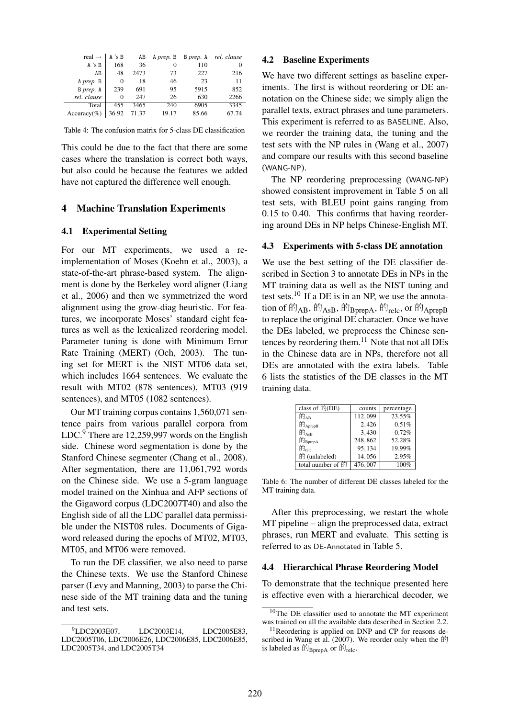| real $\rightarrow$ | A 's B   | AB    | A prep. B | B prep. A | rel. clause |
|--------------------|----------|-------|-----------|-----------|-------------|
| A's B              | 168      | 36    | $\theta$  | 110       |             |
| AB                 | 48       | 2473  | 73        | 227       | 216         |
| A prep. B          | $\Omega$ | 18    | 46        | 23        | 11          |
| B prep. A          | 239      | 691   | 95        | 5915      | 852         |
| rel. clause        | 0        | 247   | 26        | 630       | 2266        |
| Total              | 455      | 3465  | 240       | 6905      | 3345        |
| Accuracy(%)        | 36.92    | 71.37 | 19.17     | 85.66     | 67.74       |

Table 4: The confusion matrix for 5-class DE classification

This could be due to the fact that there are some cases where the translation is correct both ways, but also could be because the features we added have not captured the difference well enough.

### 4 Machine Translation Experiments

#### 4.1 Experimental Setting

For our MT experiments, we used a reimplementation of Moses (Koehn et al., 2003), a state-of-the-art phrase-based system. The alignment is done by the Berkeley word aligner (Liang et al., 2006) and then we symmetrized the word alignment using the grow-diag heuristic. For features, we incorporate Moses' standard eight features as well as the lexicalized reordering model. Parameter tuning is done with Minimum Error Rate Training (MERT) (Och, 2003). The tuning set for MERT is the NIST MT06 data set, which includes 1664 sentences. We evaluate the result with MT02 (878 sentences), MT03 (919 sentences), and MT05 (1082 sentences).

Our MT training corpus contains 1,560,071 sentence pairs from various parallel corpora from LDC.<sup>9</sup> There are 12,259,997 words on the English side. Chinese word segmentation is done by the Stanford Chinese segmenter (Chang et al., 2008). After segmentation, there are 11,061,792 words on the Chinese side. We use a 5-gram language model trained on the Xinhua and AFP sections of the Gigaword corpus (LDC2007T40) and also the English side of all the LDC parallel data permissible under the NIST08 rules. Documents of Gigaword released during the epochs of MT02, MT03, MT05, and MT06 were removed.

To run the DE classifier, we also need to parse the Chinese texts. We use the Stanford Chinese parser (Levy and Manning, 2003) to parse the Chinese side of the MT training data and the tuning and test sets.

#### 4.2 Baseline Experiments

We have two different settings as baseline experiments. The first is without reordering or DE annotation on the Chinese side; we simply align the parallel texts, extract phrases and tune parameters. This experiment is referred to as BASELINE. Also, we reorder the training data, the tuning and the test sets with the NP rules in (Wang et al., 2007) and compare our results with this second baseline (WANG-NP).

The NP reordering preprocessing (WANG-NP) showed consistent improvement in Table 5 on all test sets, with BLEU point gains ranging from 0.15 to 0.40. This confirms that having reordering around DEs in NP helps Chinese-English MT.

### 4.3 Experiments with 5-class DE annotation

We use the best setting of the DE classifier described in Section 3 to annotate DEs in NPs in the MT training data as well as the NIST tuning and test sets.<sup>10</sup> If a DE is in an NP, we use the annotation of  $\mathbb{H}_{AB}$ ,  $\mathbb{H}_{AsB}$ ,  $\mathbb{H}_{BprepA}$ ,  $\mathbb{H}_{relc}$ , or  $\mathbb{H}_{AprepB}$ to replace the original DE character. Once we have the DEs labeled, we preprocess the Chinese sentences by reordering them. $11$  Note that not all DEs in the Chinese data are in NPs, therefore not all DEs are annotated with the extra labels. Table 6 lists the statistics of the DE classes in the MT training data.

| class of 的(DE)      | counts  | percentage |
|---------------------|---------|------------|
| 的 <sub>AB</sub>     | 112,099 | 23.55%     |
| 的 $_{\rm{AprepB}}$  | 2,426   | 0.51%      |
| 的 $_{\rm AsB}$      | 3,430   | 0.72%      |
| 的 <sub>BprepA</sub> | 248,862 | 52.28%     |
| 的 <sub>relc</sub>   | 95,134  | 19.99%     |
| 的 (unlabeled)       | 14,056  | 2.95%      |
| total number of 的   | 476,007 | 100%       |

Table 6: The number of different DE classes labeled for the MT training data.

After this preprocessing, we restart the whole MT pipeline – align the preprocessed data, extract phrases, run MERT and evaluate. This setting is referred to as DE-Annotated in Table 5.

#### 4.4 Hierarchical Phrase Reordering Model

To demonstrate that the technique presented here is effective even with a hierarchical decoder, we

<sup>&</sup>lt;sup>9</sup>LDC2003E07, LDC2003E14, LDC2005E83, LDC2005T06, LDC2006E26, LDC2006E85, LDC2006E85, LDC2005T34, and LDC2005T34

<sup>10</sup>The DE classifier used to annotate the MT experiment was trained on all the available data described in Section 2.2.

<sup>&</sup>lt;sup>11</sup>Reordering is applied on DNP and CP for reasons described in Wang et al. (2007). We reorder only when the  $\sharp \mathfrak{h}$ is labeled as  $\mathbb{M}_{\text{BprepA}}$  or  $\mathbb{M}_{\text{relc}}$ .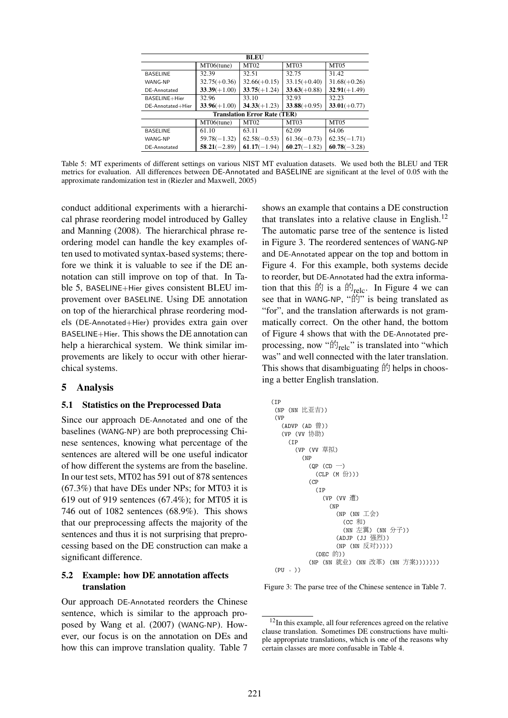| <b>BLEU</b>                         |                |                |                |                |
|-------------------------------------|----------------|----------------|----------------|----------------|
|                                     | MT06(tune)     | <b>MT02</b>    | <b>MT03</b>    | <b>MT05</b>    |
| <b>BASELINE</b>                     | 32.39          | 32.51          | 32.75          | 31.42          |
| WANG-NP                             | $32.75(+0.36)$ | $32.66(+0.15)$ | $33.15(+0.40)$ | $31.68(+0.26)$ |
| DE-Annotated                        | $33.39(+1.00)$ | $33.75(+1.24)$ | $33.63(+0.88)$ | $32.91(+1.49)$ |
| BASELINE+Hier                       | 32.96          | 33.10          | 32.93          | 32.23          |
| DE-Annotated+Hier                   | $33.96(+1.00)$ | $34.33(+1.23)$ | $33.88(+0.95)$ | $33.01(+0.77)$ |
| <b>Translation Error Rate (TER)</b> |                |                |                |                |
|                                     | MT06(tune)     | <b>MT02</b>    | MT03           | MT05           |
| <b>BASELINE</b>                     | 61.10          | 63.11          | 62.09          | 64.06          |
| WANG-NP                             | $59.78(-1.32)$ | $62.58(-0.53)$ | $61.36(-0.73)$ | $62.35(-1.71)$ |
| DE-Annotated                        | $58.21(-2.89)$ | $61.17(-1.94)$ | $60.27(-1.82)$ | $60.78(-3.28)$ |

Table 5: MT experiments of different settings on various NIST MT evaluation datasets. We used both the BLEU and TER metrics for evaluation. All differences between DE-Annotated and BASELINE are significant at the level of 0.05 with the approximate randomization test in (Riezler and Maxwell, 2005)

conduct additional experiments with a hierarchical phrase reordering model introduced by Galley and Manning (2008). The hierarchical phrase reordering model can handle the key examples often used to motivated syntax-based systems; therefore we think it is valuable to see if the DE annotation can still improve on top of that. In Table 5, BASELINE+Hier gives consistent BLEU improvement over BASELINE. Using DE annotation on top of the hierarchical phrase reordering models (DE-Annotated+Hier) provides extra gain over BASELINE+Hier. This shows the DE annotation can help a hierarchical system. We think similar improvements are likely to occur with other hierarchical systems.

### 5 Analysis

## 5.1 Statistics on the Preprocessed Data

Since our approach DE-Annotated and one of the baselines (WANG-NP) are both preprocessing Chinese sentences, knowing what percentage of the sentences are altered will be one useful indicator of how different the systems are from the baseline. In our test sets, MT02 has 591 out of 878 sentences (67.3%) that have DEs under NPs; for MT03 it is 619 out of 919 sentences (67.4%); for MT05 it is 746 out of 1082 sentences (68.9%). This shows that our preprocessing affects the majority of the sentences and thus it is not surprising that preprocessing based on the DE construction can make a significant difference.

# 5.2 Example: how DE annotation affects translation

Our approach DE-Annotated reorders the Chinese sentence, which is similar to the approach proposed by Wang et al. (2007) (WANG-NP). However, our focus is on the annotation on DEs and how this can improve translation quality. Table 7

shows an example that contains a DE construction that translates into a relative clause in English. $^{12}$ The automatic parse tree of the sentence is listed in Figure 3. The reordered sentences of WANG-NP and DE-Annotated appear on the top and bottom in Figure 4. For this example, both systems decide to reorder, but DE-Annotated had the extra information that this  $\hat{F}$  is a  $\hat{F}|_{relc}$ . In Figure 4 we can see that in WANG-NP, "的" is being translated as "for", and the translation afterwards is not grammatically correct. On the other hand, the bottom of Figure 4 shows that with the DE-Annotated preprocessing, now " ${\rm \hat{H}}_{\rm relc}$ " is translated into "which was" and well connected with the later translation. This shows that disambiguating  $\hat{F}$  helps in choosing a better English translation.

```
(IP
 (NP (NN 比亚吉))
 (VP
   (ADVP (AD <math>\frac{\dot{m}}{2})</math>)(VP (VV 协助)
      (IP
         (VP (VV 草拟)
           (NP
              (\text{OP } (CD \rightharpoonup)(CLP (M <math>\#</math>)))(CP
                 (IP
                   (VP (VV 遭)
                      (NP
                         (NP (NN \mathbb{I}\hat{\otimes})
                           (CC \#I)(NN 左翼) (NN 分子))
                         (ADJP (JJ 强烈))
                         (NP (NN 反对)))))
                 (DEC_f\H())(NP (NN 就业) (NN 改革) (NN 方案)))))))
 (PU -
))
```
Figure 3: The parse tree of the Chinese sentence in Table 7.

<sup>&</sup>lt;sup>12</sup>In this example, all four references agreed on the relative clause translation. Sometimes DE constructions have multiple appropriate translations, which is one of the reasons why certain classes are more confusable in Table 4.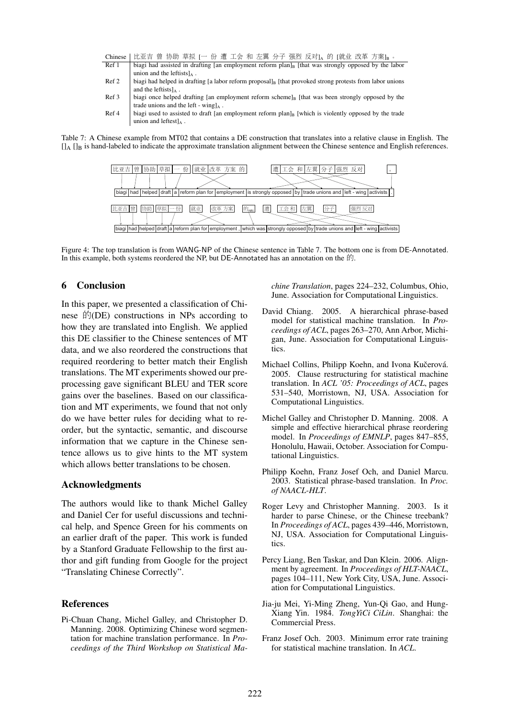| Chinese | │比亚吉 曾 协助 草拟 [一 份 遭 工会 和 左翼 分子 强烈 反对]。的 [就业 改革 方案]。。                                                                 |
|---------|----------------------------------------------------------------------------------------------------------------------|
| Ref 1   | biagi had assisted in drafting [an employment reform $planl$ ] [that was strongly opposed by the labor               |
|         | union and the leftists $]_A$ .                                                                                       |
| Ref 2   | biagi had helped in drafting [a labor reform proposal] <sub>B</sub> [that provoked strong protests from labor unions |
|         | and the leftists $\lambda$ .                                                                                         |
| Ref 3   | biagi once helped drafting [an employment reform scheme] <sub>B</sub> [that was been strongly opposed by the         |
|         | trade unions and the left - wing $\lambda$ .                                                                         |
| Ref 4   | biagi used to assisted to draft [an employment reform plan] <sub>B</sub> [which is violently opposed by the trade    |
|         | union and leftest $\lambda$ .                                                                                        |

Table 7: A Chinese example from MT02 that contains a DE construction that translates into a relative clause in English. The  $\prod_{\alpha}$   $\prod_{\beta}$  is hand-labeled to indicate the approximate translation alignment between the Chinese sentence and English references.



Figure 4: The top translation is from WANG-NP of the Chinese sentence in Table 7. The bottom one is from DE-Annotated. In this example, both systems reordered the NP, but DE-Annotated has an annotation on the  $\hat{E}$ .

# 6 Conclusion

In this paper, we presented a classification of Chinese  $\mathbb{H}(DE)$  constructions in NPs according to how they are translated into English. We applied this DE classifier to the Chinese sentences of MT data, and we also reordered the constructions that required reordering to better match their English translations. The MT experiments showed our preprocessing gave significant BLEU and TER score gains over the baselines. Based on our classification and MT experiments, we found that not only do we have better rules for deciding what to reorder, but the syntactic, semantic, and discourse information that we capture in the Chinese sentence allows us to give hints to the MT system which allows better translations to be chosen.

### Acknowledgments

The authors would like to thank Michel Galley and Daniel Cer for useful discussions and technical help, and Spence Green for his comments on an earlier draft of the paper. This work is funded by a Stanford Graduate Fellowship to the first author and gift funding from Google for the project "Translating Chinese Correctly".

# References

Pi-Chuan Chang, Michel Galley, and Christopher D. Manning. 2008. Optimizing Chinese word segmentation for machine translation performance. In *Proceedings of the Third Workshop on Statistical Ma-* *chine Translation*, pages 224–232, Columbus, Ohio, June. Association for Computational Linguistics.

- David Chiang. 2005. A hierarchical phrase-based model for statistical machine translation. In *Proceedings of ACL*, pages 263–270, Ann Arbor, Michigan, June. Association for Computational Linguistics.
- Michael Collins, Philipp Koehn, and Ivona Kučerová. 2005. Clause restructuring for statistical machine translation. In *ACL '05: Proceedings of ACL*, pages 531–540, Morristown, NJ, USA. Association for Computational Linguistics.
- Michel Galley and Christopher D. Manning. 2008. A simple and effective hierarchical phrase reordering model. In *Proceedings of EMNLP*, pages 847–855, Honolulu, Hawaii, October. Association for Computational Linguistics.
- Philipp Koehn, Franz Josef Och, and Daniel Marcu. 2003. Statistical phrase-based translation. In *Proc. of NAACL-HLT*.
- Roger Levy and Christopher Manning. 2003. Is it harder to parse Chinese, or the Chinese treebank? In *Proceedings of ACL*, pages 439–446, Morristown, NJ, USA. Association for Computational Linguistics.
- Percy Liang, Ben Taskar, and Dan Klein. 2006. Alignment by agreement. In *Proceedings of HLT-NAACL*, pages 104–111, New York City, USA, June. Association for Computational Linguistics.
- Jia-ju Mei, Yi-Ming Zheng, Yun-Qi Gao, and Hung-Xiang Yin. 1984. *TongYiCi CiLin*. Shanghai: the Commercial Press.
- Franz Josef Och. 2003. Minimum error rate training for statistical machine translation. In *ACL*.